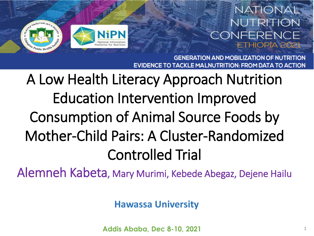# JiPN

#### NATIONAL NUTRITION CONFERENCE ETHIOPIA 202

**GENERATION AND MOBILIZATION OF NUTRITION** TRITION: FROM DATA TO ACTION

## A Low Health Literacy Approach Nutrition Education Intervention Improved Consumption of Animal Source Foods by Mother-Child Pairs: A Cluster-Randomized Controlled Trial

Alemneh Kabeta, Mary Murimi, Kebede Abegaz, Dejene Hailu

**Hawassa University**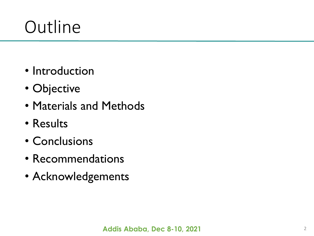# **Outline**

- Introduction
- Objective
- Materials and Methods
- Results
- Conclusions
- Recommendations
- Acknowledgements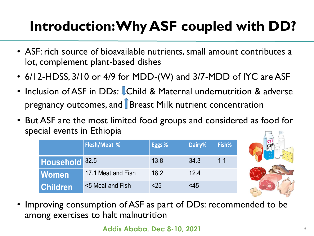### **Introduction: Why ASF coupled with DD?**

- ASF: rich source of bioavailable nutrients, small amount contributes a lot, complement plant-based dishes
- 6/12-HDSS, 3/10 or 4/9 for MDD-(W) and 3/7-MDD of IYC are ASF
- Inclusion of ASF in DDs: Child & Maternal undernutrition & adverse pregnancy outcomes, and **Breast Milk nutrient concentration**
- But ASF are the most limited food groups and considered as food for special events in Ethiopia

|                           | <b>Flesh/Meat %</b> | Eggs % | Dairy%    | Fish% |
|---------------------------|---------------------|--------|-----------|-------|
| Household <sup>32.5</sup> |                     | 13.8   | 34.3      | 1.1   |
| <b>Women</b>              | 17.1 Meat and Fish  | 18.2   | 12.4      |       |
| <b>Children</b>           | <5 Meat and Fish    | $25$   | $\leq$ 45 |       |



• Improving consumption of ASF as part of DDs: recommended to be among exercises to halt malnutrition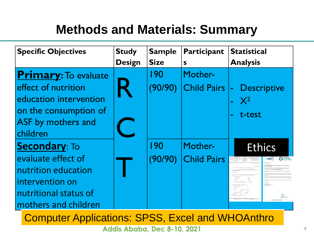#### **Methods and Materials: Summary**

| <b>Specific Objectives</b>  | <b>Study</b>  | <b>Sample</b> | Participant        | <b>Statistical</b> |
|-----------------------------|---------------|---------------|--------------------|--------------------|
|                             | <b>Design</b> | <b>Size</b>   | S                  | <b>Analysis</b>    |
| <b>Primary:</b> To evaluate |               | 190           | Mother-            |                    |
| effect of nutrition         |               | (90/90)       | Child Pairs  -     | <b>Descriptive</b> |
| education intervention      |               |               |                    | $\mathbf{X}^2$     |
| on the consumption of       |               |               |                    | t-test             |
| ASF by mothers and          |               |               |                    |                    |
| children                    |               |               |                    |                    |
| <b>Secondary: To</b>        |               | 190           | Mother-            | <b>Ethics</b>      |
| evaluate effect of          |               | (90/90)       | <b>Child Pairs</b> | C Cochrane<br>MRC  |
| nutrition education         |               |               |                    |                    |
| intervention on             |               |               |                    |                    |
| nutritional status of       |               |               |                    |                    |
| mothers and children        |               |               |                    |                    |

Computer Applications: SPSS, Excel and WHOAnthro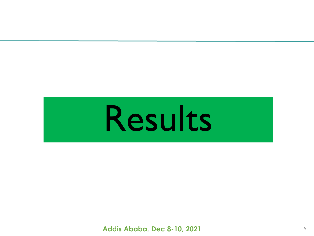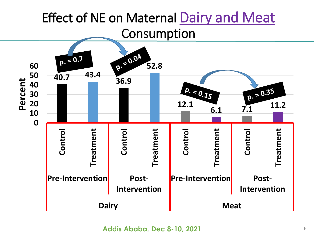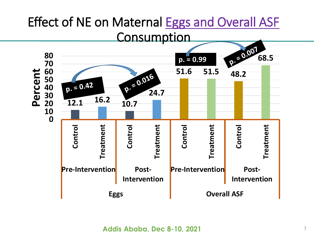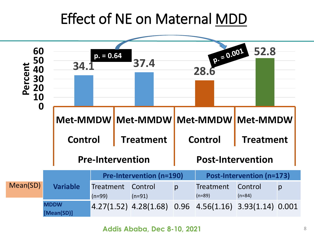#### Effect of NE on Maternal MDD



```
Addis Ababa, Dec 8-10, 2021
```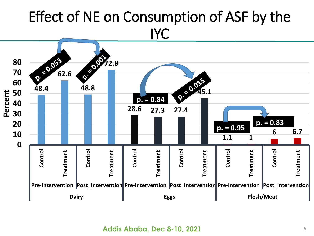#### Effect of NE on Consumption of ASF by the IYC

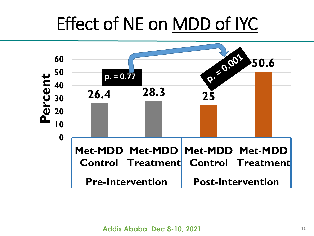# Effect of NE on MDD of IYC

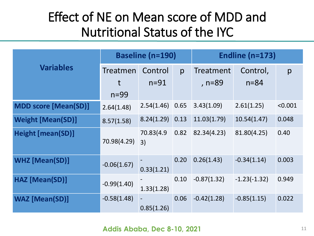#### Effect of NE on Mean score of MDD and Nutritional Status of the IYC

|                             | <b>Baseline (n=190)</b> |                   |      | Endline $(n=173)$ |                |         |  |
|-----------------------------|-------------------------|-------------------|------|-------------------|----------------|---------|--|
| <b>Variables</b>            | Treatmen                | Control           | p    | Treatment         | Control,       | p       |  |
|                             | t                       | $n=91$            |      | , n=89            | $n = 84$       |         |  |
|                             | $n=99$                  |                   |      |                   |                |         |  |
| <b>MDD score [Mean(SD)]</b> | 2.64(1.48)              | $2.54(1.46)$ 0.65 |      | 3.43(1.09)        | 2.61(1.25)     | < 0.001 |  |
| <b>Weight [Mean(SD)]</b>    | 8.57(1.58)              | $8.24(1.29)$ 0.13 |      | 11.03(1.79)       | 10.54(1.47)    | 0.048   |  |
| <b>Height [mean(SD)]</b>    | 70.98(4.29)             | 70.83(4.9)<br>3)  | 0.82 | 82.34(4.23)       | 81.80(4.25)    | 0.40    |  |
| <b>WHZ</b> [Mean(SD)]       | $-0.06(1.67)$           | 0.33(1.21)        | 0.20 | 0.26(1.43)        | $-0.34(1.14)$  | 0.003   |  |
| HAZ [Mean(SD)]              | $-0.99(1.40)$           | 1.33(1.28)        | 0.10 | $-0.87(1.32)$     | $-1.23(-1.32)$ | 0.949   |  |
| <b>WAZ</b> [Mean(SD)]       | $-0.58(1.48)$           | 0.85(1.26)        | 0.06 | $-0.42(1.28)$     | $-0.85(1.15)$  | 0.022   |  |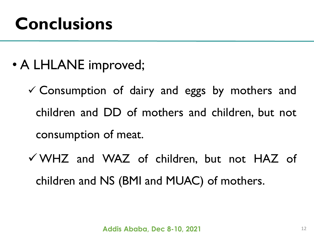# **Conclusions**

- A LHLANE improved;
	- $\checkmark$  Consumption of dairy and eggs by mothers and children and DD of mothers and children, but not consumption of meat.
	- WHZ and WAZ of children, but not HAZ of children and NS (BMI and MUAC) of mothers.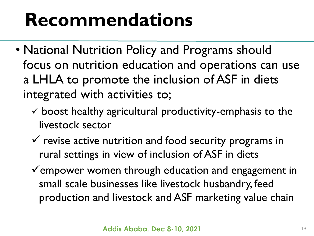# **Recommendations**

- National Nutrition Policy and Programs should focus on nutrition education and operations can use a LHLA to promote the inclusion of ASF in diets integrated with activities to;
	- $\checkmark$  boost healthy agricultural productivity-emphasis to the livestock sector
	- $\checkmark$  revise active nutrition and food security programs in rural settings in view of inclusion of ASF in diets
	- $\checkmark$  empower women through education and engagement in small scale businesses like livestock husbandry, feed production and livestock and ASF marketing value chain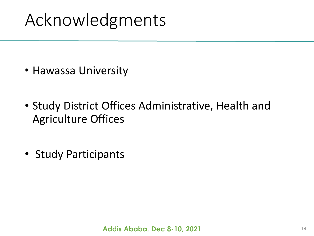# Acknowledgments

- Hawassa University
- Study District Offices Administrative, Health and Agriculture Offices
- Study Participants